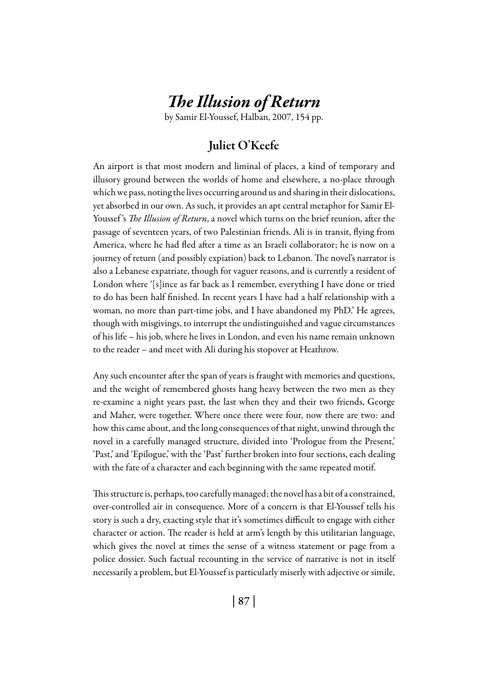# *The Illusion of Return*

by Samir El-Youssef, Halban, 2007, 154 pp.

## Juliet O'Keefe

An airport is that most modern and liminal of places, a kind of temporary and illusory ground between the worlds of home and elsewhere, a no-place through which we pass, noting the lives occurring around us and sharing in their dislocations, yet absorbed in our own. As such, it provides an apt central metaphor for Samir El-Youssef 's *The Illusion of Return*, a novel which turns on the brief reunion, after the passage of seventeen years, of two Palestinian friends. Ali is in transit, flying from America, where he had fled after a time as an Israeli collaborator; he is now on a journey of return (and possibly expiation) back to Lebanon. The novel's narrator is also a Lebanese expatriate, though for vaguer reasons, and is currently a resident of London where '[s]ince as far back as I remember, everything I have done or tried to do has been half finished. In recent years I have had a half relationship with a woman, no more than part-time jobs, and I have abandoned my PhD.' He agrees, though with misgivings, to interrupt the undistinguished and vague circumstances of his life – his job, where he lives in London, and even his name remain unknown to the reader – and meet with Ali during his stopover at Heathrow.

Any such encounter after the span of years is fraught with memories and questions, and the weight of remembered ghosts hang heavy between the two men as they re-examine a night years past, the last when they and their two friends, George and Maher, were together. Where once there were four, now there are two: and how this came about, and the long consequences of that night, unwind through the novel in a carefully managed structure, divided into 'Prologue from the Present,' 'Past,' and 'Epilogue,' with the 'Past' further broken into four sections, each dealing with the fate of a character and each beginning with the same repeated motif.

This structure is, perhaps, too carefully managed; the novel has a bit of a constrained, over-controlled air in consequence. More of a concern is that El-Youssef tells his story is such a dry, exacting style that it's sometimes difficult to engage with either character or action. The reader is held at arm's length by this utilitarian language, which gives the novel at times the sense of a witness statement or page from a police dossier. Such factual recounting in the service of narrative is not in itself necessarily a problem, but El-Youssef is particularly miserly with adjective or simile,

| 87 |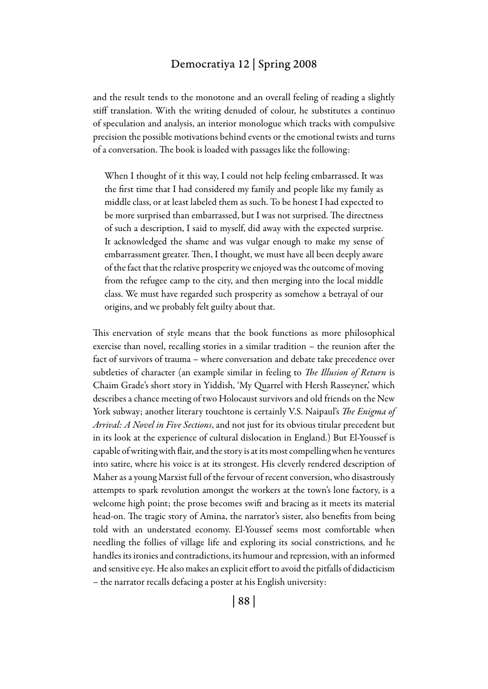## Democratiya 12 | Spring 2008

and the result tends to the monotone and an overall feeling of reading a slightly stiff translation. With the writing denuded of colour, he substitutes a continuo of speculation and analysis, an interior monologue which tracks with compulsive precision the possible motivations behind events or the emotional twists and turns of a conversation. The book is loaded with passages like the following:

When I thought of it this way, I could not help feeling embarrassed. It was the first time that I had considered my family and people like my family as middle class, or at least labeled them as such. To be honest I had expected to be more surprised than embarrassed, but I was not surprised. The directness of such a description, I said to myself, did away with the expected surprise. It acknowledged the shame and was vulgar enough to make my sense of embarrassment greater. Then, I thought, we must have all been deeply aware of the fact that the relative prosperity we enjoyed was the outcome of moving from the refugee camp to the city, and then merging into the local middle class. We must have regarded such prosperity as somehow a betrayal of our origins, and we probably felt guilty about that.

This enervation of style means that the book functions as more philosophical exercise than novel, recalling stories in a similar tradition – the reunion after the fact of survivors of trauma – where conversation and debate take precedence over subtleties of character (an example similar in feeling to *The Illusion of Return* is Chaim Grade's short story in Yiddish, 'My Quarrel with Hersh Rasseyner,' which describes a chance meeting of two Holocaust survivors and old friends on the New York subway; another literary touchtone is certainly V.S. Naipaul's *The Enigma of Arrival: A Novel in Five Sections*, and not just for its obvious titular precedent but in its look at the experience of cultural dislocation in England.) But El-Youssef is capable of writing with flair, and the story is at its most compelling when he ventures into satire, where his voice is at its strongest. His cleverly rendered description of Maher as a young Marxist full of the fervour of recent conversion, who disastrously attempts to spark revolution amongst the workers at the town's lone factory, is a welcome high point; the prose becomes swift and bracing as it meets its material head-on. The tragic story of Amina, the narrator's sister, also benefits from being told with an understated economy. El-Youssef seems most comfortable when needling the follies of village life and exploring its social constrictions, and he handles its ironies and contradictions, its humour and repression, with an informed and sensitive eye. He also makes an explicit effort to avoid the pitfalls of didacticism – the narrator recalls defacing a poster at his English university: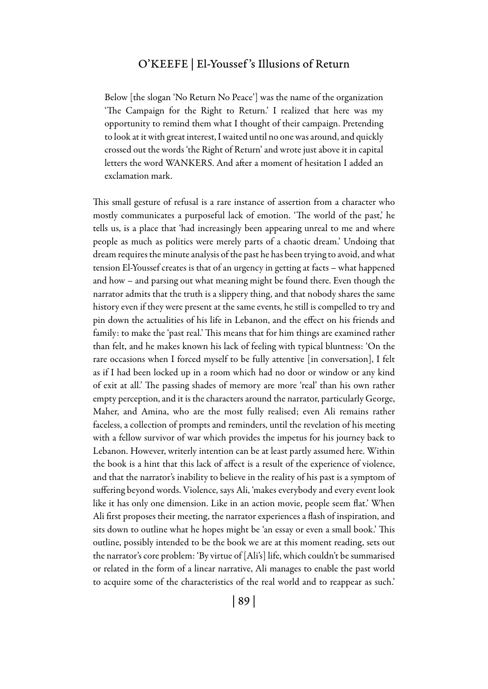#### O'Keefe | El-Youssef 's Illusions of Return

Below [the slogan 'No Return No Peace'] was the name of the organization 'The Campaign for the Right to Return.' I realized that here was my opportunity to remind them what I thought of their campaign. Pretending to look at it with great interest, I waited until no one was around, and quickly crossed out the words 'the Right of Return' and wrote just above it in capital letters the word WANKERS. And after a moment of hesitation I added an exclamation mark.

This small gesture of refusal is a rare instance of assertion from a character who mostly communicates a purposeful lack of emotion. 'The world of the past,' he tells us, is a place that 'had increasingly been appearing unreal to me and where people as much as politics were merely parts of a chaotic dream.' Undoing that dream requires the minute analysis of the past he has been trying to avoid, and what tension El-Youssef creates is that of an urgency in getting at facts – what happened and how – and parsing out what meaning might be found there. Even though the narrator admits that the truth is a slippery thing, and that nobody shares the same history even if they were present at the same events, he still is compelled to try and pin down the actualities of his life in Lebanon, and the effect on his friends and family: to make the 'past real.' This means that for him things are examined rather than felt, and he makes known his lack of feeling with typical bluntness: 'On the rare occasions when I forced myself to be fully attentive [in conversation], I felt as if I had been locked up in a room which had no door or window or any kind of exit at all.' The passing shades of memory are more 'real' than his own rather empty perception, and it is the characters around the narrator, particularly George, Maher, and Amina, who are the most fully realised; even Ali remains rather faceless, a collection of prompts and reminders, until the revelation of his meeting with a fellow survivor of war which provides the impetus for his journey back to Lebanon. However, writerly intention can be at least partly assumed here. Within the book is a hint that this lack of affect is a result of the experience of violence, and that the narrator's inability to believe in the reality of his past is a symptom of suffering beyond words. Violence, says Ali, 'makes everybody and every event look like it has only one dimension. Like in an action movie, people seem flat.' When Ali first proposes their meeting, the narrator experiences a flash of inspiration, and sits down to outline what he hopes might be 'an essay or even a small book.' This outline, possibly intended to be the book we are at this moment reading, sets out the narrator's core problem: 'By virtue of [Ali's] life, which couldn't be summarised or related in the form of a linear narrative, Ali manages to enable the past world to acquire some of the characteristics of the real world and to reappear as such.'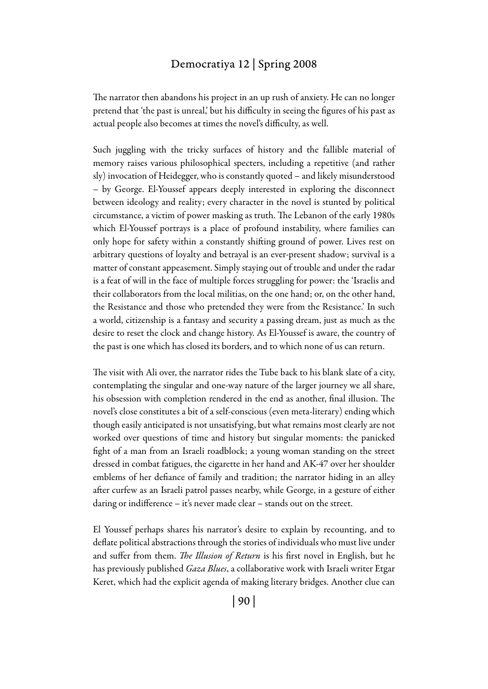## Democratiya 12 | Spring 2008

The narrator then abandons his project in an up rush of anxiety. He can no longer pretend that 'the past is unreal,' but his difficulty in seeing the figures of his past as actual people also becomes at times the novel's difficulty, as well.

Such juggling with the tricky surfaces of history and the fallible material of memory raises various philosophical specters, including a repetitive (and rather sly) invocation of Heidegger, who is constantly quoted – and likely misunderstood – by George. El-Youssef appears deeply interested in exploring the disconnect between ideology and reality; every character in the novel is stunted by political circumstance, a victim of power masking as truth. The Lebanon of the early 1980s which El-Youssef portrays is a place of profound instability, where families can only hope for safety within a constantly shifting ground of power. Lives rest on arbitrary questions of loyalty and betrayal is an ever-present shadow; survival is a matter of constant appeasement. Simply staying out of trouble and under the radar is a feat of will in the face of multiple forces struggling for power: the 'Israelis and their collaborators from the local militias, on the one hand; or, on the other hand, the Resistance and those who pretended they were from the Resistance.' In such a world, citizenship is a fantasy and security a passing dream, just as much as the desire to reset the clock and change history. As El-Youssef is aware, the country of the past is one which has closed its borders, and to which none of us can return.

The visit with Ali over, the narrator rides the Tube back to his blank slate of a city, contemplating the singular and one-way nature of the larger journey we all share, his obsession with completion rendered in the end as another, final illusion. The novel's close constitutes a bit of a self-conscious (even meta-literary) ending which though easily anticipated is not unsatisfying, but what remains most clearly are not worked over questions of time and history but singular moments: the panicked fight of a man from an Israeli roadblock; a young woman standing on the street dressed in combat fatigues, the cigarette in her hand and AK-47 over her shoulder emblems of her defiance of family and tradition; the narrator hiding in an alley after curfew as an Israeli patrol passes nearby, while George, in a gesture of either daring or indifference – it's never made clear – stands out on the street.

El Youssef perhaps shares his narrator's desire to explain by recounting, and to deflate political abstractions through the stories of individuals who must live under and suffer from them. *The Illusion of Return* is his first novel in English, but he has previously published *Gaza Blues*, a collaborative work with Israeli writer Etgar Keret, which had the explicit agenda of making literary bridges. Another clue can

| 90 |